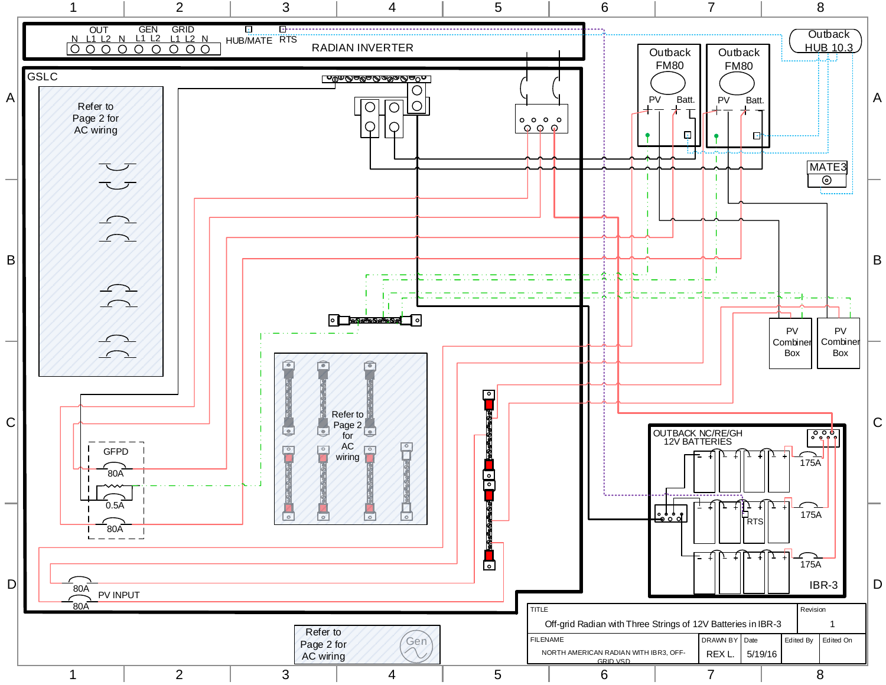